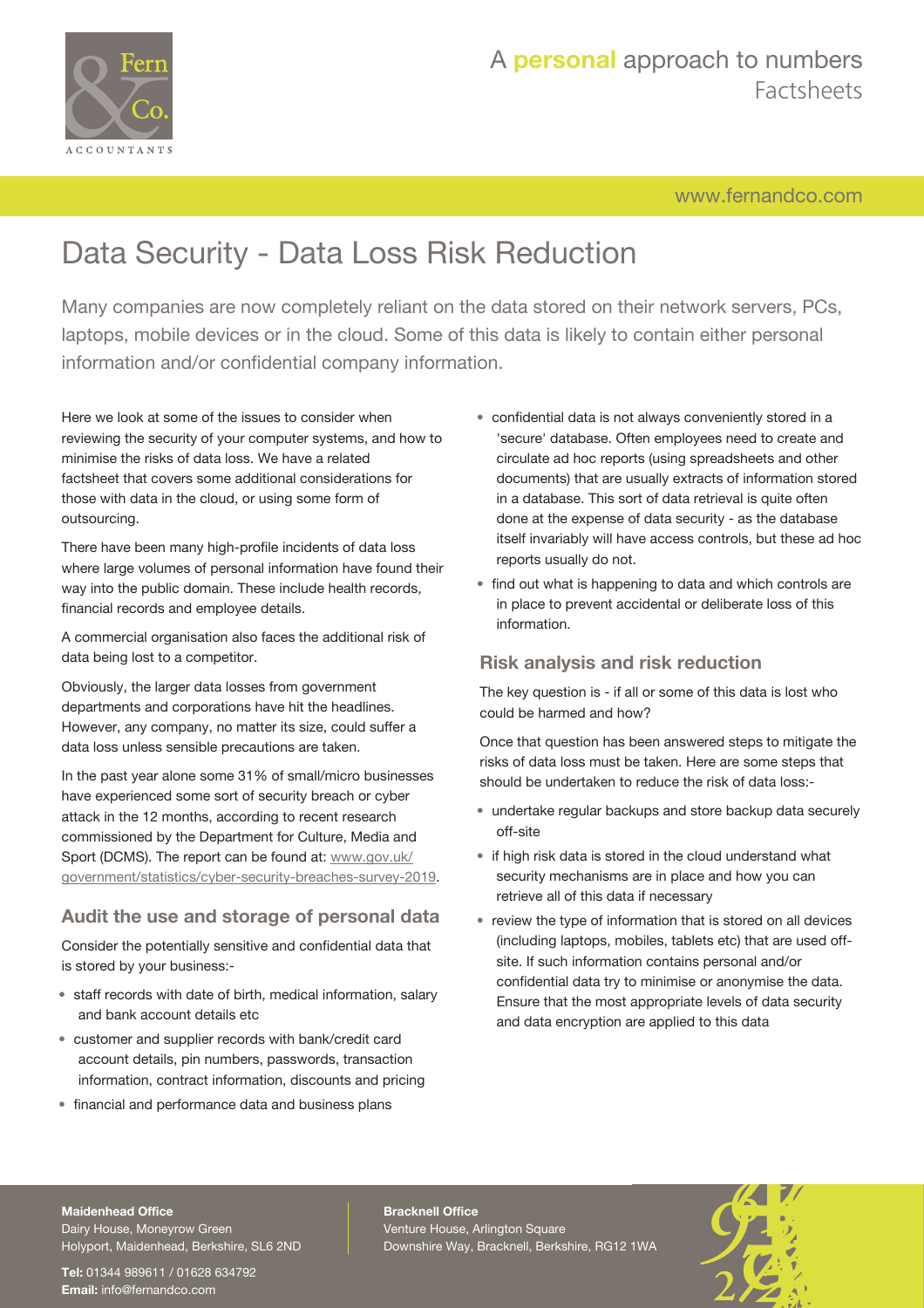

# A **personal** approach to numbers Factsheets

[www.fernandco.com](http://www.fernandco.com)

# Data Security - Data Loss Risk Reduction

Many companies are now completely reliant on the data stored on their network servers, PCs, laptops, mobile devices or in the cloud. Some of this data is likely to contain either personal information and/or confidential company information.

Here we look at some of the issues to consider when reviewing the security of your computer systems, and how to minimise the risks of data loss. We have a related factsheet that covers some additional considerations for those with data in the cloud, or using some form of outsourcing.

There have been many high-profile incidents of data loss where large volumes of personal information have found their way into the public domain. These include health records, financial records and employee details.

A commercial organisation also faces the additional risk of data being lost to a competitor.

Obviously, the larger data losses from government departments and corporations have hit the headlines. However, any company, no matter its size, could suffer a data loss unless sensible precautions are taken.

In the past year alone some 31% of small/micro businesses have experienced some sort of security breach or cyber attack in the 12 months, according to recent research commissioned by the Department for Culture, Media and Sport (DCMS). The report can be found at: [www.gov.uk/](https://www.gov.uk/government/statistics/cyber-security-breaches-survey-2019) [government/statistics/cyber-security-breaches-survey-2019.](https://www.gov.uk/government/statistics/cyber-security-breaches-survey-2019)

## **Audit the use and storage of personal data**

Consider the potentially sensitive and confidential data that is stored by your business:-

- staff records with date of birth, medical information, salary and bank account details etc
- customer and supplier records with bank/credit card account details, pin numbers, passwords, transaction information, contract information, discounts and pricing
- financial and performance data and business plans
- confidential data is not always conveniently stored in a 'secure' database. Often employees need to create and circulate ad hoc reports (using spreadsheets and other documents) that are usually extracts of information stored in a database. This sort of data retrieval is quite often done at the expense of data security - as the database itself invariably will have access controls, but these ad hoc reports usually do not.
- find out what is happening to data and which controls are in place to prevent accidental or deliberate loss of this information.

## **Risk analysis and risk reduction**

The key question is - if all or some of this data is lost who could be harmed and how?

Once that question has been answered steps to mitigate the risks of data loss must be taken. Here are some steps that should be undertaken to reduce the risk of data loss:-

- undertake regular backups and store backup data securely off-site
- if high risk data is stored in the cloud understand what security mechanisms are in place and how you can retrieve all of this data if necessary
- review the type of information that is stored on all devices (including laptops, mobiles, tablets etc) that are used offsite. If such information contains personal and/or confidential data try to minimise or anonymise the data. Ensure that the most appropriate levels of data security and data encryption are applied to this data

#### **Maidenhead Office**

Dairy House, Moneyrow Green Holyport, Maidenhead, Berkshire, SL6 2ND

**Tel:** 01344 989611 / 01628 634792 **Email:** [info@fernandco.com](mailto:info@fernandco.com)

**Bracknell Office** Venture House, Arlington Square Downshire Way, Bracknell, Berkshire, RG12 1WA